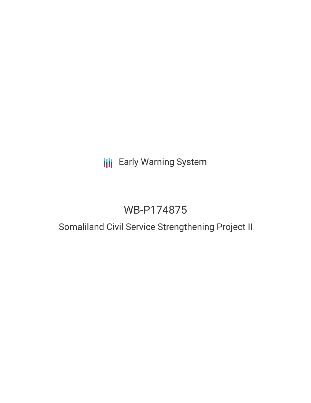# **III** Early Warning System

# WB-P174875

## Somaliland Civil Service Strengthening Project II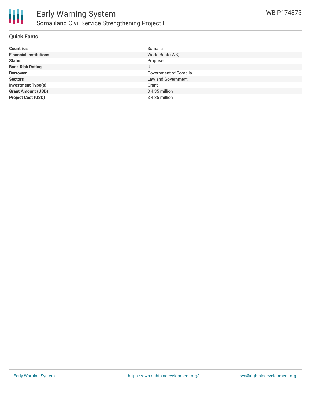

### **Quick Facts**

| <b>Countries</b>              | Somalia               |
|-------------------------------|-----------------------|
| <b>Financial Institutions</b> | World Bank (WB)       |
| <b>Status</b>                 | Proposed              |
| <b>Bank Risk Rating</b>       | U                     |
| <b>Borrower</b>               | Government of Somalia |
| <b>Sectors</b>                | Law and Government    |
| <b>Investment Type(s)</b>     | Grant                 |
| <b>Grant Amount (USD)</b>     | $$4.35$ million       |
| <b>Project Cost (USD)</b>     | $$4.35$ million       |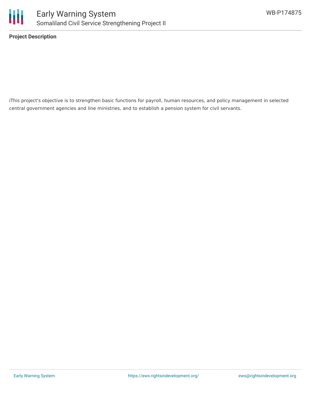

**Project Description**

iThis project's objective is to strengthen basic functions for payroll, human resources, and policy management in selected central government agencies and line ministries, and to establish a pension system for civil servants.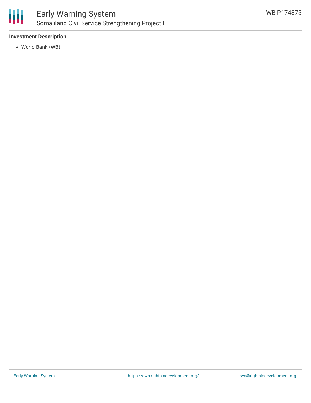

### **Investment Description**

World Bank (WB)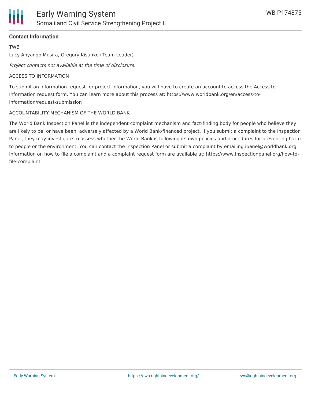

## **Contact Information**

TWB

Lucy Anyango Musira, Gregory Kisunko (Team Leader)

Project contacts not available at the time of disclosure.

### ACCESS TO INFORMATION

To submit an information request for project information, you will have to create an account to access the Access to Information request form. You can learn more about this process at: https://www.worldbank.org/en/access-toinformation/request-submission

## ACCOUNTABILITY MECHANISM OF THE WORLD BANK

The World Bank Inspection Panel is the independent complaint mechanism and fact-finding body for people who believe they are likely to be, or have been, adversely affected by a World Bank-financed project. If you submit a complaint to the Inspection Panel, they may investigate to assess whether the World Bank is following its own policies and procedures for preventing harm to people or the environment. You can contact the Inspection Panel or submit a complaint by emailing ipanel@worldbank.org. Information on how to file a complaint and a complaint request form are available at: https://www.inspectionpanel.org/how-tofile-complaint